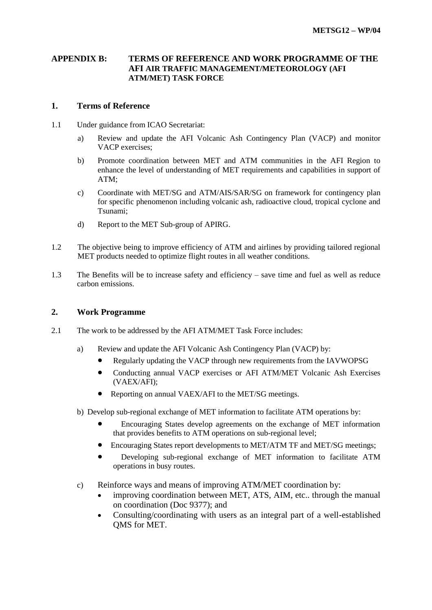## **APPENDIX B: TERMS OF REFERENCE AND WORK PROGRAMME OF THE AFI AIR TRAFFIC MANAGEMENT/METEOROLOGY (AFI ATM/MET) TASK FORCE**

#### **1. Terms of Reference**

- 1.1 Under guidance from ICAO Secretariat:
	- a) Review and update the AFI Volcanic Ash Contingency Plan (VACP) and monitor VACP exercises;
	- b) Promote coordination between MET and ATM communities in the AFI Region to enhance the level of understanding of MET requirements and capabilities in support of ATM;
	- c) Coordinate with MET/SG and ATM/AIS/SAR/SG on framework for contingency plan for specific phenomenon including volcanic ash, radioactive cloud, tropical cyclone and Tsunami;
	- d) Report to the MET Sub-group of APIRG.
- 1.2 The objective being to improve efficiency of ATM and airlines by providing tailored regional MET products needed to optimize flight routes in all weather conditions.
- 1.3 The Benefits will be to increase safety and efficiency save time and fuel as well as reduce carbon emissions.

## **2. Work Programme**

- 2.1 The work to be addressed by the AFI ATM/MET Task Force includes:
	- a) Review and update the AFI Volcanic Ash Contingency Plan (VACP) by:
		- Regularly updating the VACP through new requirements from the IAVWOPSG
		- Conducting annual VACP exercises or AFI ATM/MET Volcanic Ash Exercises (VAEX/AFI);
		- Reporting on annual VAEX/AFI to the MET/SG meetings.
	- b) Develop sub-regional exchange of MET information to facilitate ATM operations by:
		- Encouraging States develop agreements on the exchange of MET information that provides benefits to ATM operations on sub-regional level;
		- Encouraging States report developments to MET/ATM TF and MET/SG meetings;
		- Developing sub-regional exchange of MET information to facilitate ATM operations in busy routes.
	- c) Reinforce ways and means of improving ATM/MET coordination by:
		- improving coordination between MET, ATS, AIM, etc.. through the manual on coordination (Doc 9377); and
		- Consulting/coordinating with users as an integral part of a well-established QMS for MET.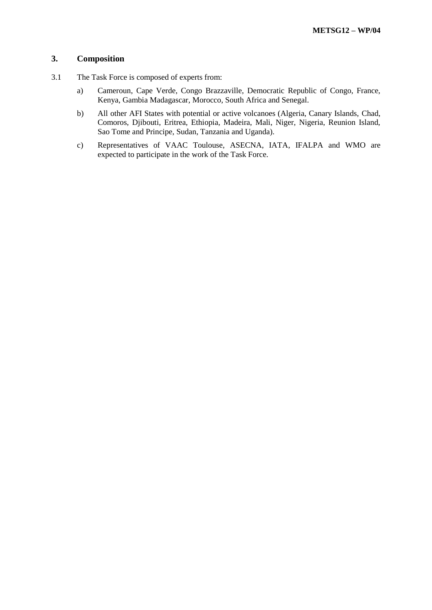#### **3. Composition**

- 3.1 The Task Force is composed of experts from:
	- a) Cameroun, Cape Verde, Congo Brazzaville, Democratic Republic of Congo, France, Kenya, Gambia Madagascar, Morocco, South Africa and Senegal.
	- b) All other AFI States with potential or active volcanoes (Algeria, Canary Islands, Chad, Comoros, Djibouti, Eritrea, Ethiopia, Madeira, Mali, Niger, Nigeria, Reunion Island, Sao Tome and Principe, Sudan, Tanzania and Uganda).
	- c) Representatives of VAAC Toulouse, ASECNA, IATA, IFALPA and WMO are expected to participate in the work of the Task Force.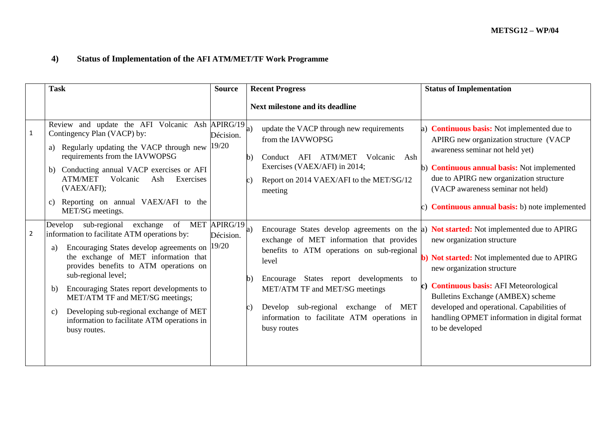# **4) Status of Implementation of the AFI ATM/MET/TF Work Programme**

|                | <b>Task</b>                                                                                                                                                                                                                                                                                                                                                                                                                                                                             | <b>Source</b>      | <b>Recent Progress</b>                                                                                                                                                                                                                                                                                                                                                                                      | <b>Status of Implementation</b>                                                                                                                                                                                                                                                                                                 |
|----------------|-----------------------------------------------------------------------------------------------------------------------------------------------------------------------------------------------------------------------------------------------------------------------------------------------------------------------------------------------------------------------------------------------------------------------------------------------------------------------------------------|--------------------|-------------------------------------------------------------------------------------------------------------------------------------------------------------------------------------------------------------------------------------------------------------------------------------------------------------------------------------------------------------------------------------------------------------|---------------------------------------------------------------------------------------------------------------------------------------------------------------------------------------------------------------------------------------------------------------------------------------------------------------------------------|
|                |                                                                                                                                                                                                                                                                                                                                                                                                                                                                                         |                    | Next milestone and its deadline                                                                                                                                                                                                                                                                                                                                                                             |                                                                                                                                                                                                                                                                                                                                 |
| $\mathbf{1}$   | Review and update the AFI Volcanic Ash APIRG/19<br>Contingency Plan (VACP) by:<br>Regularly updating the VACP through new $ 19/20$<br>requirements from the IAVWOPSG<br>Conducting annual VACP exercises or AFI<br>b)<br><b>ATM/MET</b><br>Volcanic<br>Ash<br>Exercises<br>(VAEX/AFI);<br>Reporting on annual VAEX/AFI to the<br>C)<br>MET/SG meetings.                                                                                                                                 | Décision.          | update the VACP through new requirements<br>a)<br>from the IAVWOPSG<br>Conduct AFI ATM/MET<br>Volcanic<br>Ash<br>h)<br>Exercises (VAEX/AFI) in 2014;<br>Report on 2014 VAEX/AFI to the MET/SG/12<br>meeting                                                                                                                                                                                                 | a) <b>Continuous basis:</b> Not implemented due to<br>APIRG new organization structure (VACP<br>awareness seminar not held yet)<br>b) <b>Continuous annual basis:</b> Not implemented<br>due to APIRG new organization structure<br>(VACP awareness seminar not held)<br>c) <b>Continuous annual basis:</b> b) note implemented |
| $\overline{2}$ | of MET $\overline{APIRG}/19 _{a)}$<br>Develop sub-regional<br>exchange<br>information to facilitate ATM operations by:<br>Encouraging States develop agreements on<br>a)<br>the exchange of MET information that<br>provides benefits to ATM operations on<br>sub-regional level;<br>Encouraging States report developments to<br>b)<br>MET/ATM TF and MET/SG meetings;<br>Developing sub-regional exchange of MET<br>C)<br>information to facilitate ATM operations in<br>busy routes. | Décision.<br>19/20 | Encourage States develop agreements on the a) Not started: Not implemented due to APIRG<br>exchange of MET information that provides<br>benefits to ATM operations on sub-regional<br>level<br>Encourage States report developments<br>to<br>$\mathbf{b}$<br>MET/ATM TF and MET/SG meetings<br>Develop sub-regional exchange of<br><b>MET</b><br>information to facilitate ATM operations in<br>busy routes | new organization structure<br>b) Not started: Not implemented due to APIRG<br>new organization structure<br>c) Continuous basis: AFI Meteorological<br>Bulletins Exchange (AMBEX) scheme<br>developed and operational. Capabilities of<br>handling OPMET information in digital format<br>to be developed                       |